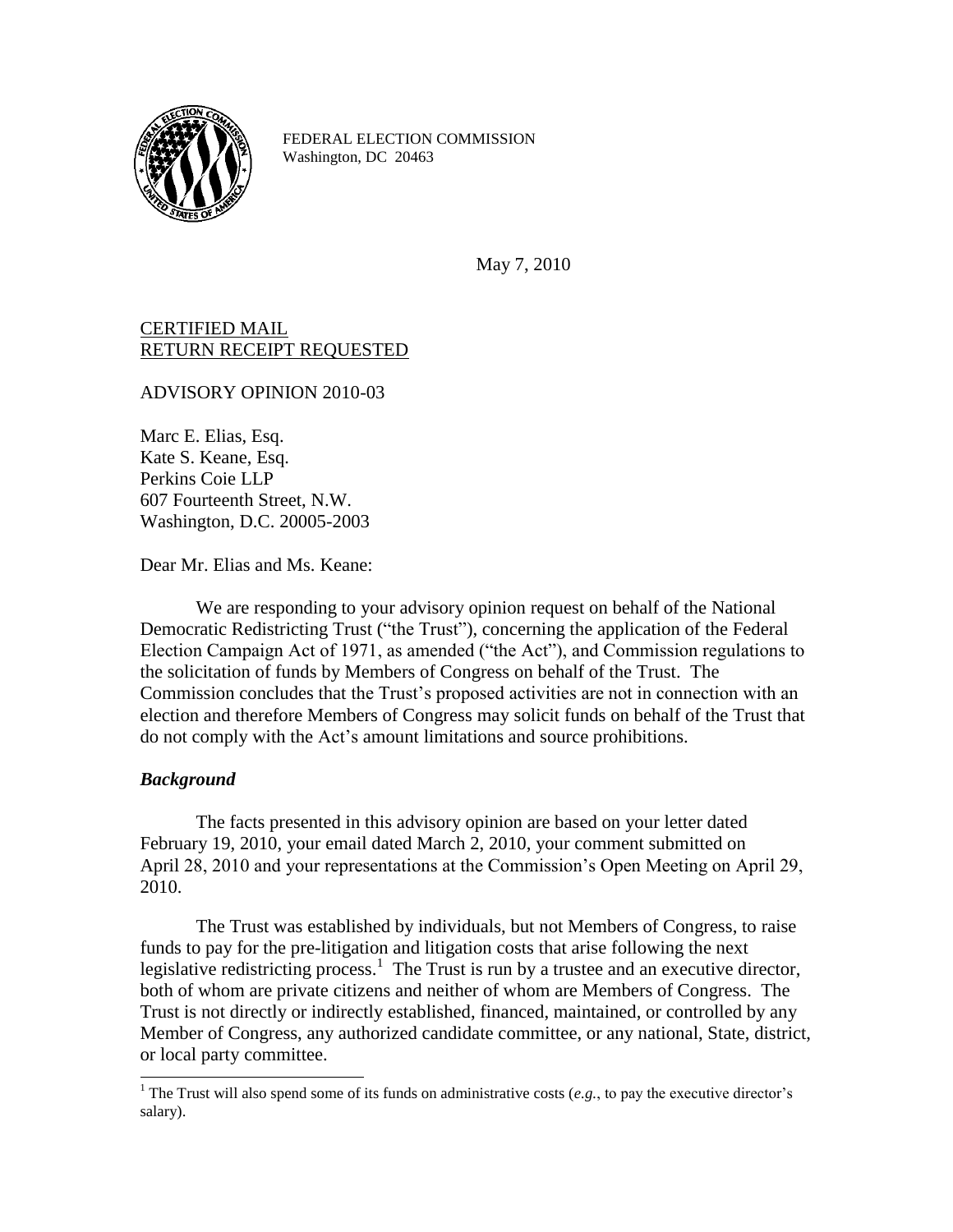

FEDERAL ELECTION COMMISSION Washington, DC 20463

May 7, 2010

## CERTIFIED MAIL RETURN RECEIPT REQUESTED

ADVISORY OPINION 2010-03

Marc E. Elias, Esq. Kate S. Keane, Esq. Perkins Coie LLP 607 Fourteenth Street, N.W. Washington, D.C. 20005-2003

Dear Mr. Elias and Ms. Keane:

We are responding to your advisory opinion request on behalf of the National Democratic Redistricting Trust ("the Trust"), concerning the application of the Federal Election Campaign Act of 1971, as amended ("the Act"), and Commission regulations to the solicitation of funds by Members of Congress on behalf of the Trust. The Commission concludes that the Trust"s proposed activities are not in connection with an election and therefore Members of Congress may solicit funds on behalf of the Trust that do not comply with the Act"s amount limitations and source prohibitions.

## *Background*

The facts presented in this advisory opinion are based on your letter dated February 19, 2010, your email dated March 2, 2010, your comment submitted on April 28, 2010 and your representations at the Commission"s Open Meeting on April 29, 2010.

The Trust was established by individuals, but not Members of Congress, to raise funds to pay for the pre-litigation and litigation costs that arise following the next legislative redistricting process.<sup>1</sup> The Trust is run by a trustee and an executive director, both of whom are private citizens and neither of whom are Members of Congress. The Trust is not directly or indirectly established, financed, maintained, or controlled by any Member of Congress, any authorized candidate committee, or any national, State, district, or local party committee.

 $\overline{a}$ <sup>1</sup> The Trust will also spend some of its funds on administrative costs (*e.g.*, to pay the executive director's salary).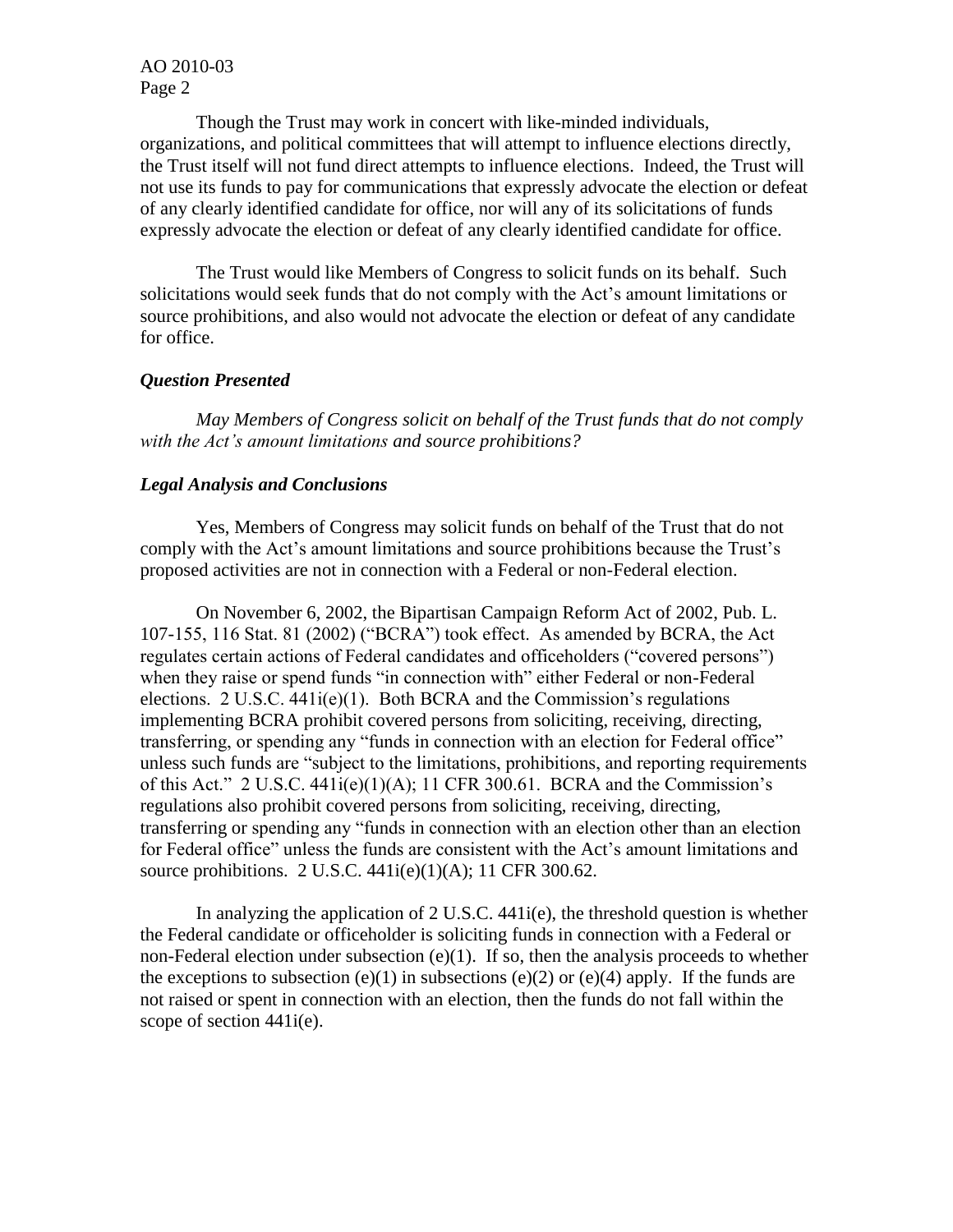Though the Trust may work in concert with like-minded individuals, organizations, and political committees that will attempt to influence elections directly, the Trust itself will not fund direct attempts to influence elections. Indeed, the Trust will not use its funds to pay for communications that expressly advocate the election or defeat of any clearly identified candidate for office, nor will any of its solicitations of funds expressly advocate the election or defeat of any clearly identified candidate for office.

The Trust would like Members of Congress to solicit funds on its behalf. Such solicitations would seek funds that do not comply with the Act"s amount limitations or source prohibitions, and also would not advocate the election or defeat of any candidate for office.

## *Question Presented*

*May Members of Congress solicit on behalf of the Trust funds that do not comply with the Act's amount limitations and source prohibitions?*

## *Legal Analysis and Conclusions*

Yes, Members of Congress may solicit funds on behalf of the Trust that do not comply with the Act"s amount limitations and source prohibitions because the Trust"s proposed activities are not in connection with a Federal or non-Federal election.

On November 6, 2002, the Bipartisan Campaign Reform Act of 2002, Pub. L. 107-155, 116 Stat. 81 (2002) ("BCRA") took effect. As amended by BCRA, the Act regulates certain actions of Federal candidates and officeholders ("covered persons") when they raise or spend funds "in connection with" either Federal or non-Federal elections.  $2 \text{ U.S.C. } 441i(e)(1)$ . Both BCRA and the Commission's regulations implementing BCRA prohibit covered persons from soliciting, receiving, directing, transferring, or spending any "funds in connection with an election for Federal office" unless such funds are "subject to the limitations, prohibitions, and reporting requirements of this Act." 2 U.S.C.  $441i(e)(1)(A)$ ; 11 CFR 300.61. BCRA and the Commission's regulations also prohibit covered persons from soliciting, receiving, directing, transferring or spending any "funds in connection with an election other than an election for Federal office" unless the funds are consistent with the Act"s amount limitations and source prohibitions. 2 U.S.C. 441i(e)(1)(A); 11 CFR 300.62.

In analyzing the application of  $2 \text{ U.S.C. } 441 \text{ i(e)}$ , the threshold question is whether the Federal candidate or officeholder is soliciting funds in connection with a Federal or non-Federal election under subsection (e)(1). If so, then the analysis proceeds to whether the exceptions to subsection (e)(1) in subsections (e)(2) or (e)(4) apply. If the funds are not raised or spent in connection with an election, then the funds do not fall within the scope of section 441i(e).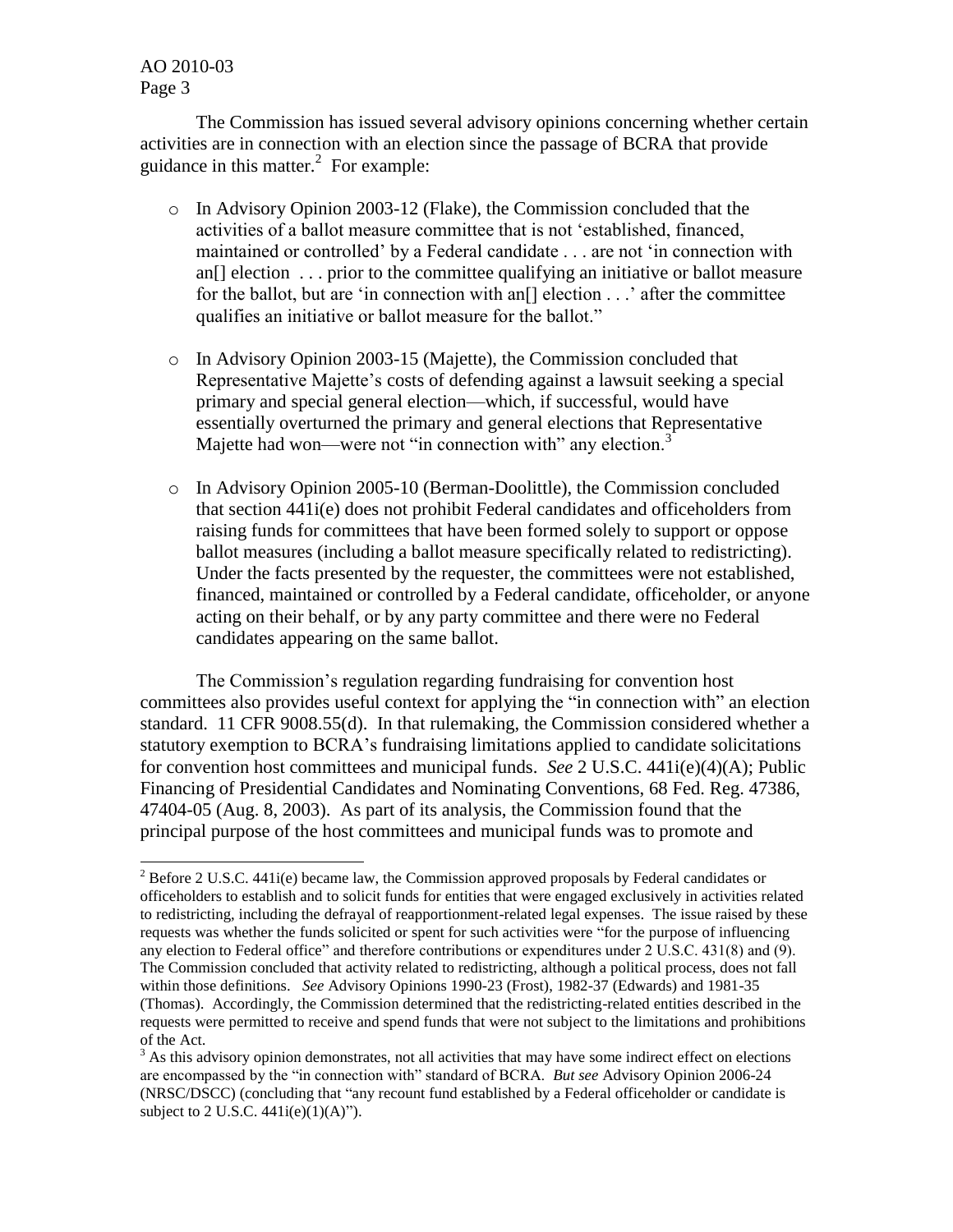$\overline{a}$ 

The Commission has issued several advisory opinions concerning whether certain activities are in connection with an election since the passage of BCRA that provide guidance in this matter. $^{2}$  For example:

- o In Advisory Opinion 2003-12 (Flake), the Commission concluded that the activities of a ballot measure committee that is not "established, financed, maintained or controlled" by a Federal candidate . . . are not "in connection with an[] election . . . prior to the committee qualifying an initiative or ballot measure for the ballot, but are 'in connection with an<sup>[]</sup> election  $\ldots$  after the committee qualifies an initiative or ballot measure for the ballot."
- o In Advisory Opinion 2003-15 (Majette), the Commission concluded that Representative Majette"s costs of defending against a lawsuit seeking a special primary and special general election—which, if successful, would have essentially overturned the primary and general elections that Representative Majette had won—were not "in connection with" any election.<sup>3</sup>
- o In Advisory Opinion 2005-10 (Berman-Doolittle), the Commission concluded that section 441i(e) does not prohibit Federal candidates and officeholders from raising funds for committees that have been formed solely to support or oppose ballot measures (including a ballot measure specifically related to redistricting). Under the facts presented by the requester, the committees were not established, financed, maintained or controlled by a Federal candidate, officeholder, or anyone acting on their behalf, or by any party committee and there were no Federal candidates appearing on the same ballot.

The Commission"s regulation regarding fundraising for convention host committees also provides useful context for applying the "in connection with" an election standard. 11 CFR 9008.55(d). In that rulemaking, the Commission considered whether a statutory exemption to BCRA"s fundraising limitations applied to candidate solicitations for convention host committees and municipal funds. *See* 2 U.S.C. 441i(e)(4)(A); Public Financing of Presidential Candidates and Nominating Conventions, 68 Fed. Reg. 47386, 47404-05 (Aug. 8, 2003). As part of its analysis, the Commission found that the principal purpose of the host committees and municipal funds was to promote and

<sup>&</sup>lt;sup>2</sup> Before 2 U.S.C. 441i(e) became law, the Commission approved proposals by Federal candidates or officeholders to establish and to solicit funds for entities that were engaged exclusively in activities related to redistricting, including the defrayal of reapportionment-related legal expenses. The issue raised by these requests was whether the funds solicited or spent for such activities were "for the purpose of influencing any election to Federal office" and therefore contributions or expenditures under 2 U.S.C. 431(8) and (9). The Commission concluded that activity related to redistricting, although a political process, does not fall within those definitions. *See* Advisory Opinions 1990-23 (Frost), 1982-37 (Edwards) and 1981-35 (Thomas). Accordingly, the Commission determined that the redistricting-related entities described in the requests were permitted to receive and spend funds that were not subject to the limitations and prohibitions of the Act.

<sup>&</sup>lt;sup>3</sup> As this advisory opinion demonstrates, not all activities that may have some indirect effect on elections are encompassed by the "in connection with" standard of BCRA. *But see* Advisory Opinion 2006-24 (NRSC/DSCC) (concluding that "any recount fund established by a Federal officeholder or candidate is subject to 2 U.S.C.  $441i(e)(1)(A)$ ").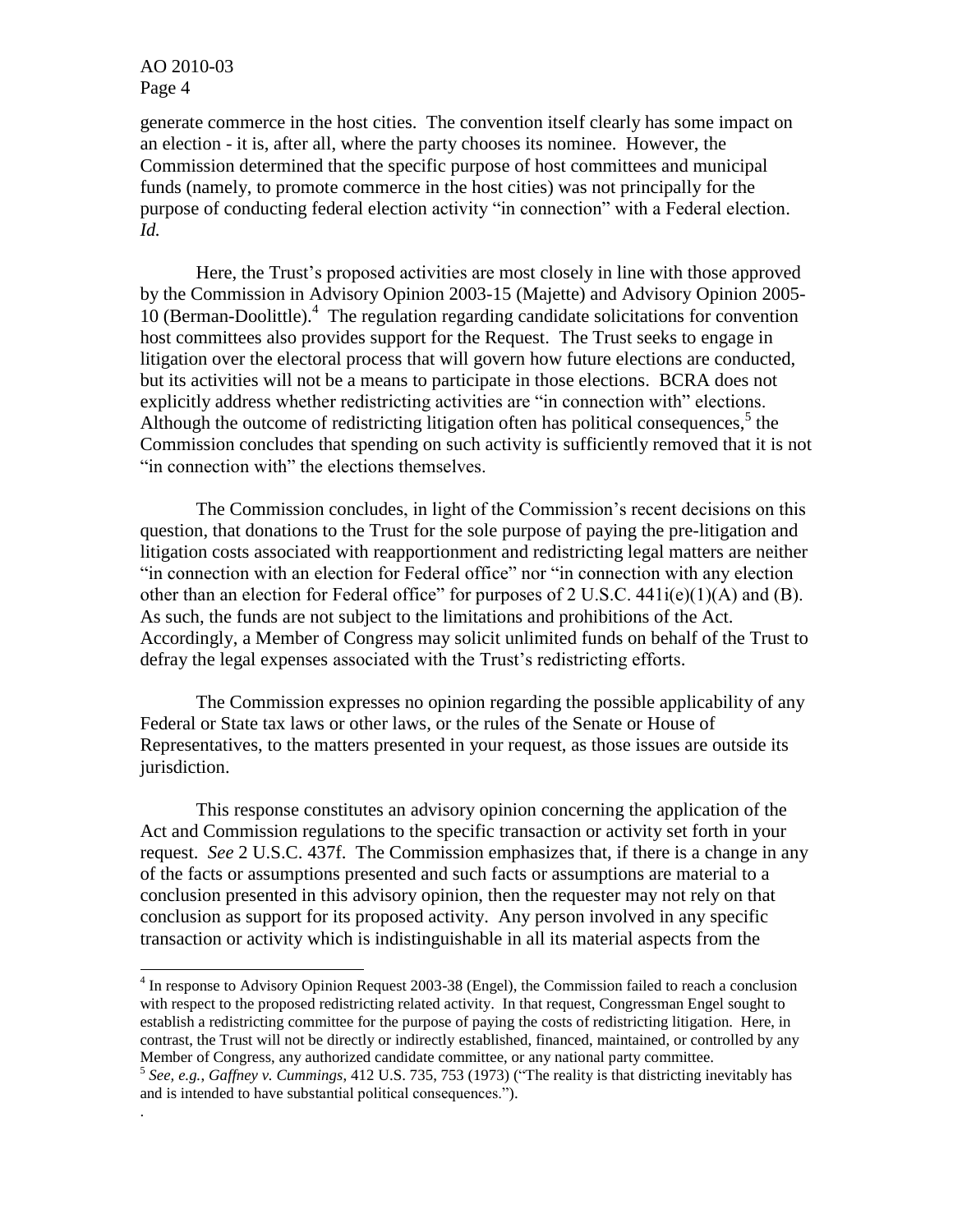.

generate commerce in the host cities. The convention itself clearly has some impact on an election - it is, after all, where the party chooses its nominee. However, the Commission determined that the specific purpose of host committees and municipal funds (namely, to promote commerce in the host cities) was not principally for the purpose of conducting federal election activity "in connection" with a Federal election. *Id.*

Here, the Trust's proposed activities are most closely in line with those approved by the Commission in Advisory Opinion 2003-15 (Majette) and Advisory Opinion 2005- 10 (Berman-Doolittle). 4 The regulation regarding candidate solicitations for convention host committees also provides support for the Request. The Trust seeks to engage in litigation over the electoral process that will govern how future elections are conducted, but its activities will not be a means to participate in those elections. BCRA does not explicitly address whether redistricting activities are "in connection with" elections. Although the outcome of redistricting litigation often has political consequences,<sup>5</sup> the Commission concludes that spending on such activity is sufficiently removed that it is not "in connection with" the elections themselves.

The Commission concludes, in light of the Commission"s recent decisions on this question, that donations to the Trust for the sole purpose of paying the pre-litigation and litigation costs associated with reapportionment and redistricting legal matters are neither "in connection with an election for Federal office" nor "in connection with any election other than an election for Federal office" for purposes of 2 U.S.C.  $441i(e)(1)(A)$  and (B). As such, the funds are not subject to the limitations and prohibitions of the Act. Accordingly, a Member of Congress may solicit unlimited funds on behalf of the Trust to defray the legal expenses associated with the Trust's redistricting efforts.

The Commission expresses no opinion regarding the possible applicability of any Federal or State tax laws or other laws, or the rules of the Senate or House of Representatives, to the matters presented in your request, as those issues are outside its jurisdiction.

This response constitutes an advisory opinion concerning the application of the Act and Commission regulations to the specific transaction or activity set forth in your request. *See* 2 U.S.C. 437f. The Commission emphasizes that, if there is a change in any of the facts or assumptions presented and such facts or assumptions are material to a conclusion presented in this advisory opinion, then the requester may not rely on that conclusion as support for its proposed activity. Any person involved in any specific transaction or activity which is indistinguishable in all its material aspects from the

 4 In response to Advisory Opinion Request 2003-38 (Engel), the Commission failed to reach a conclusion with respect to the proposed redistricting related activity. In that request, Congressman Engel sought to establish a redistricting committee for the purpose of paying the costs of redistricting litigation. Here, in contrast, the Trust will not be directly or indirectly established, financed, maintained, or controlled by any Member of Congress, any authorized candidate committee, or any national party committee.

<sup>5</sup> *See, e.g.*, *Gaffney v. Cummings*, 412 U.S. 735, 753 (1973) ("The reality is that districting inevitably has and is intended to have substantial political consequences.").